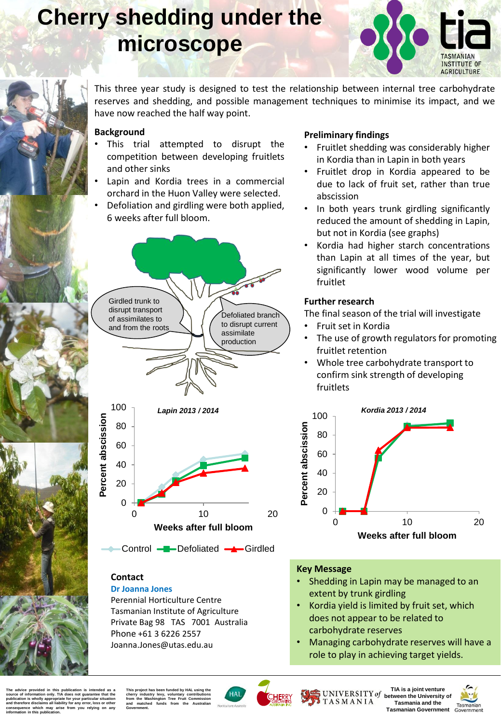# **Cherry shedding under the microscope**



This three year study is designed to test the relationship between internal tree carbohydrate reserves and shedding, and possible management techniques to minimise its impact, and we have now reached the half way point.

## **Background**

- This trial attempted to disrupt the competition between developing fruitlets and other sinks
- Lapin and Kordia trees in a commercial orchard in the Huon Valley were selected.
- Defoliation and girdling were both applied, 6 weeks after full bloom.



0 10 20

**Weeks after full bloom**

Control - Defoliated - Girdled

# **Preliminary findings**

- Fruitlet shedding was considerably higher in Kordia than in Lapin in both years
- Fruitlet drop in Kordia appeared to be due to lack of fruit set, rather than true abscission
- In both years trunk girdling significantly reduced the amount of shedding in Lapin, but not in Kordia (see graphs)
- Kordia had higher starch concentrations than Lapin at all times of the year, but significantly lower wood volume per fruitlet

## **Further research**

The final season of the trial will investigate

- Fruit set in Kordia
- The use of growth regulators for promoting fruitlet retention
- Whole tree carbohydrate transport to confirm sink strength of developing fruitlets



### **Contact**

0

### **Dr Joanna Jones**

Perennial Horticulture Centre Tasmanian Institute of Agriculture Private Bag 98 TAS 7001 Australia Phone +61 3 6226 2557 Joanna.Jones@utas.edu.au

### **Key Message**

- Shedding in Lapin may be managed to an extent by trunk girdling
- Kordia yield is limited by fruit set, which does not appear to be related to carbohydrate reserves
- Managing carbohydrate reserves will have a role to play in achieving target yields.

The advice provided in this publication is intended as a<br>source of information only. TIA does not guarantee that the publication is wholly appropriate for your particular situation<br>and therefore disclaims all liability for any error, loss or other **consequence which may arise from you relying on any information in this publication.**

**This project has been funded by HAL using the cherry industry levy, voluntary contributions from the Washington Tree Fruit Commission and matched funds from the Australian Government.**





UNIVERSITY of TASMANIA